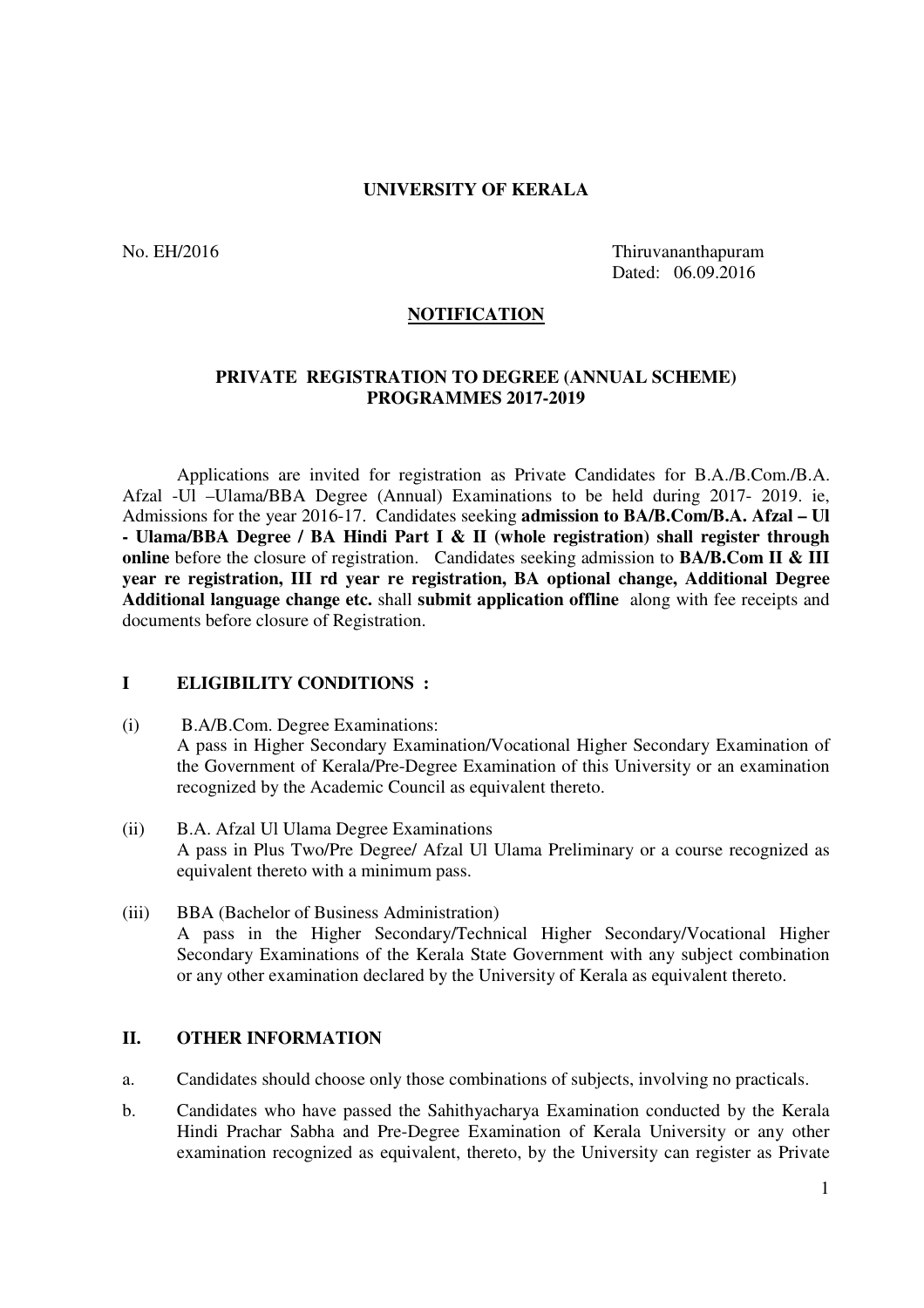#### **UNIVERSITY OF KERALA**

No. EH/2016 Thiruvananthapuram Dated: 06.09.2016

#### **NOTIFICATION**

#### **PRIVATE REGISTRATION TO DEGREE (ANNUAL SCHEME) PROGRAMMES 2017-2019**

 Applications are invited for registration as Private Candidates for B.A./B.Com./B.A. Afzal -Ul –Ulama/BBA Degree (Annual) Examinations to be held during 2017- 2019. ie, Admissions for the year 2016-17. Candidates seeking **admission to BA/B.Com/B.A. Afzal – Ul - Ulama/BBA Degree / BA Hindi Part I & II (whole registration) shall register through online** before the closure of registration. Candidates seeking admission to **BA/B.Com II & III year re registration, III rd year re registration, BA optional change, Additional Degree Additional language change etc.** shall **submit application offline** along with fee receipts and documents before closure of Registration.

#### **I ELIGIBILITY CONDITIONS :**

- (i) B.A/B.Com. Degree Examinations: A pass in Higher Secondary Examination/Vocational Higher Secondary Examination of the Government of Kerala/Pre-Degree Examination of this University or an examination recognized by the Academic Council as equivalent thereto.
- (ii) B.A. Afzal Ul Ulama Degree Examinations A pass in Plus Two/Pre Degree/ Afzal Ul Ulama Preliminary or a course recognized as equivalent thereto with a minimum pass.
- (iii) BBA (Bachelor of Business Administration) A pass in the Higher Secondary/Technical Higher Secondary/Vocational Higher Secondary Examinations of the Kerala State Government with any subject combination or any other examination declared by the University of Kerala as equivalent thereto.

#### **II. OTHER INFORMATION**

- a. Candidates should choose only those combinations of subjects, involving no practicals.
- b. Candidates who have passed the Sahithyacharya Examination conducted by the Kerala Hindi Prachar Sabha and Pre-Degree Examination of Kerala University or any other examination recognized as equivalent, thereto, by the University can register as Private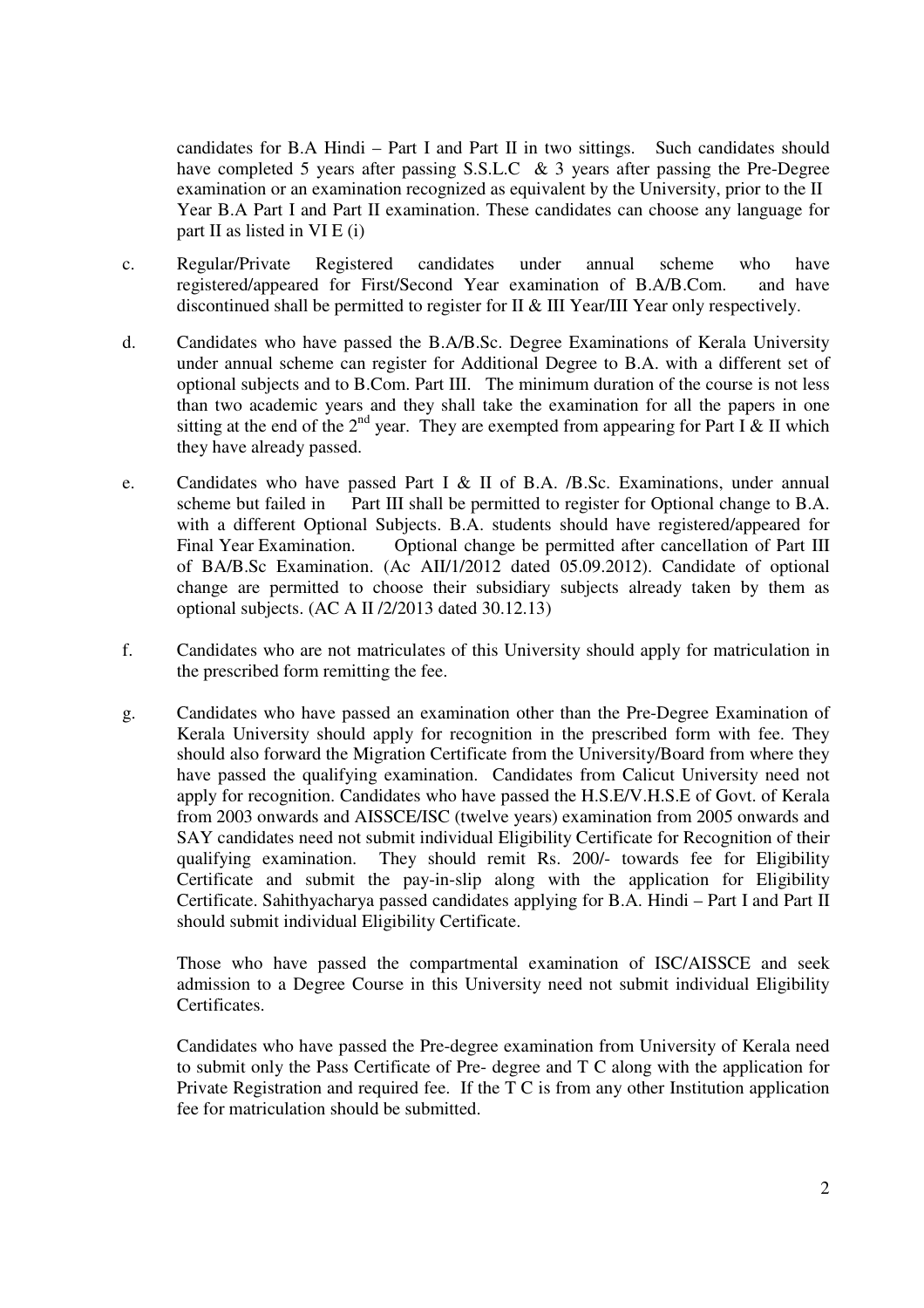candidates for B.A Hindi – Part I and Part II in two sittings. Such candidates should have completed 5 years after passing S.S.L.C & 3 years after passing the Pre-Degree examination or an examination recognized as equivalent by the University, prior to the II Year B.A Part I and Part II examination. These candidates can choose any language for part II as listed in  $VI E$  (i)

- c. Regular/Private Registered candidates under annual scheme who have registered/appeared for First/Second Year examination of B.A/B.Com. and have discontinued shall be permitted to register for II & III Year/III Year only respectively.
- d. Candidates who have passed the B.A/B.Sc. Degree Examinations of Kerala University under annual scheme can register for Additional Degree to B.A. with a different set of optional subjects and to B.Com. Part III. The minimum duration of the course is not less than two academic years and they shall take the examination for all the papers in one sitting at the end of the  $2^{nd}$  year. They are exempted from appearing for Part I & II which they have already passed.
- e. Candidates who have passed Part I & II of B.A. /B.Sc. Examinations, under annual scheme but failed in Part III shall be permitted to register for Optional change to B.A. with a different Optional Subjects. B.A. students should have registered/appeared for Final Year Examination. Optional change be permitted after cancellation of Part III of BA/B.Sc Examination. (Ac AII/1/2012 dated 05.09.2012). Candidate of optional change are permitted to choose their subsidiary subjects already taken by them as optional subjects. (AC A II /2/2013 dated 30.12.13)
- f. Candidates who are not matriculates of this University should apply for matriculation in the prescribed form remitting the fee.
- g. Candidates who have passed an examination other than the Pre-Degree Examination of Kerala University should apply for recognition in the prescribed form with fee. They should also forward the Migration Certificate from the University/Board from where they have passed the qualifying examination. Candidates from Calicut University need not apply for recognition. Candidates who have passed the H.S.E/V.H.S.E of Govt. of Kerala from 2003 onwards and AISSCE/ISC (twelve years) examination from 2005 onwards and SAY candidates need not submit individual Eligibility Certificate for Recognition of their qualifying examination. They should remit Rs. 200/- towards fee for Eligibility Certificate and submit the pay-in-slip along with the application for Eligibility Certificate. Sahithyacharya passed candidates applying for B.A. Hindi – Part I and Part II should submit individual Eligibility Certificate.

Those who have passed the compartmental examination of ISC/AISSCE and seek admission to a Degree Course in this University need not submit individual Eligibility Certificates.

Candidates who have passed the Pre-degree examination from University of Kerala need to submit only the Pass Certificate of Pre- degree and T C along with the application for Private Registration and required fee. If the T C is from any other Institution application fee for matriculation should be submitted.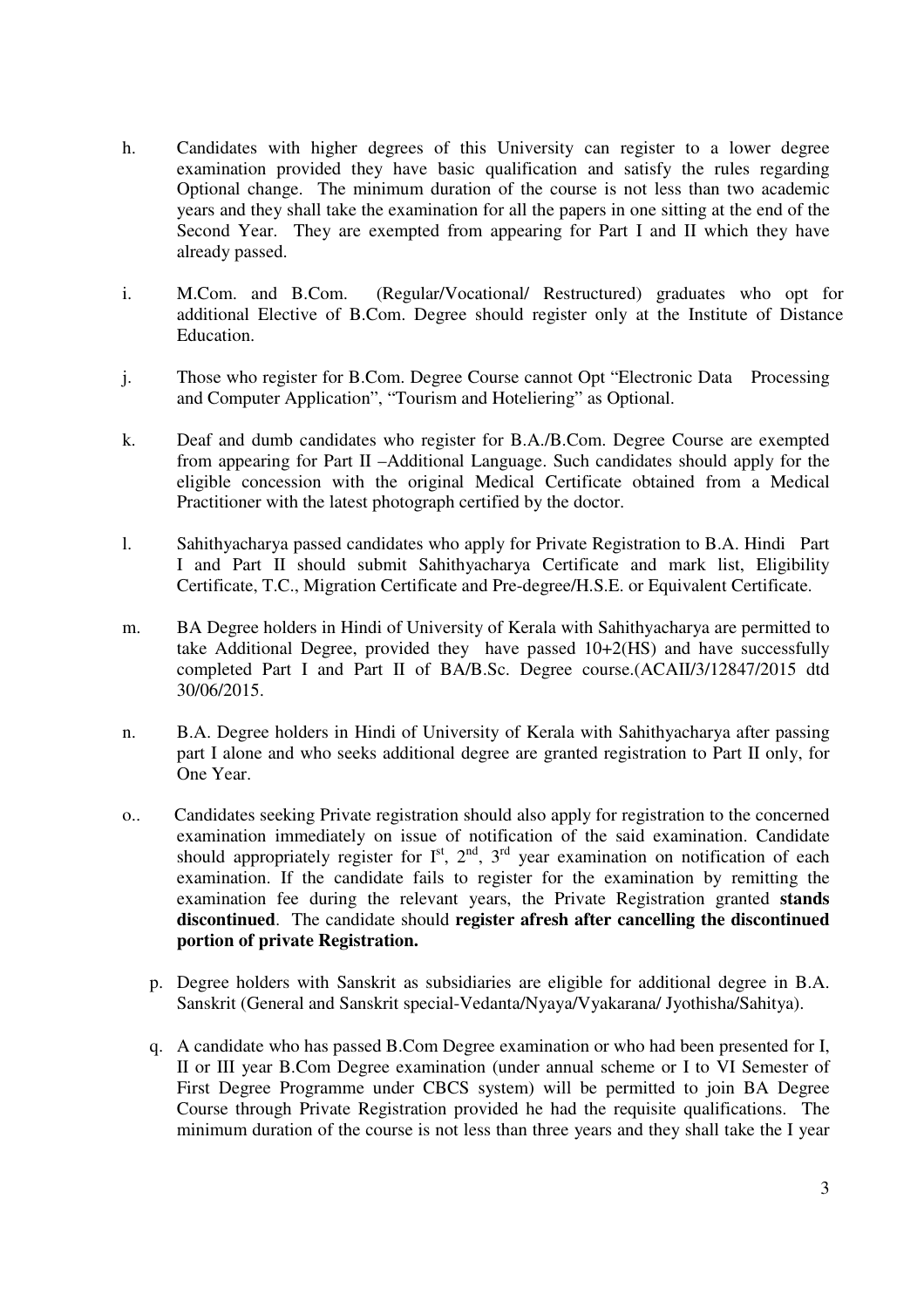- h. Candidates with higher degrees of this University can register to a lower degree examination provided they have basic qualification and satisfy the rules regarding Optional change. The minimum duration of the course is not less than two academic years and they shall take the examination for all the papers in one sitting at the end of the Second Year. They are exempted from appearing for Part I and II which they have already passed.
- i. M.Com. and B.Com. (Regular/Vocational/ Restructured) graduates who opt for additional Elective of B.Com. Degree should register only at the Institute of Distance Education.
- j. Those who register for B.Com. Degree Course cannot Opt "Electronic Data Processing and Computer Application", "Tourism and Hoteliering" as Optional.
- k. Deaf and dumb candidates who register for B.A./B.Com. Degree Course are exempted from appearing for Part II –Additional Language. Such candidates should apply for the eligible concession with the original Medical Certificate obtained from a Medical Practitioner with the latest photograph certified by the doctor.
- l. Sahithyacharya passed candidates who apply for Private Registration to B.A. Hindi Part I and Part II should submit Sahithyacharya Certificate and mark list, Eligibility Certificate, T.C., Migration Certificate and Pre-degree/H.S.E. or Equivalent Certificate.
- m. BA Degree holders in Hindi of University of Kerala with Sahithyacharya are permitted to take Additional Degree, provided they have passed 10+2(HS) and have successfully completed Part I and Part II of BA/B.Sc. Degree course.(ACAII/3/12847/2015 dtd 30/06/2015.
- n. B.A. Degree holders in Hindi of University of Kerala with Sahithyacharya after passing part I alone and who seeks additional degree are granted registration to Part II only, for One Year.
- o.. Candidates seeking Private registration should also apply for registration to the concerned examination immediately on issue of notification of the said examination. Candidate should appropriately register for  $I^{st}$ ,  $2^{nd}$ ,  $3^{rd}$  year examination on notification of each examination. If the candidate fails to register for the examination by remitting the examination fee during the relevant years, the Private Registration granted **stands discontinued**. The candidate should **register afresh after cancelling the discontinued portion of private Registration.**
	- p. Degree holders with Sanskrit as subsidiaries are eligible for additional degree in B.A. Sanskrit (General and Sanskrit special-Vedanta/Nyaya/Vyakarana/ Jyothisha/Sahitya).
	- q. A candidate who has passed B.Com Degree examination or who had been presented for I, II or III year B.Com Degree examination (under annual scheme or I to VI Semester of First Degree Programme under CBCS system) will be permitted to join BA Degree Course through Private Registration provided he had the requisite qualifications. The minimum duration of the course is not less than three years and they shall take the I year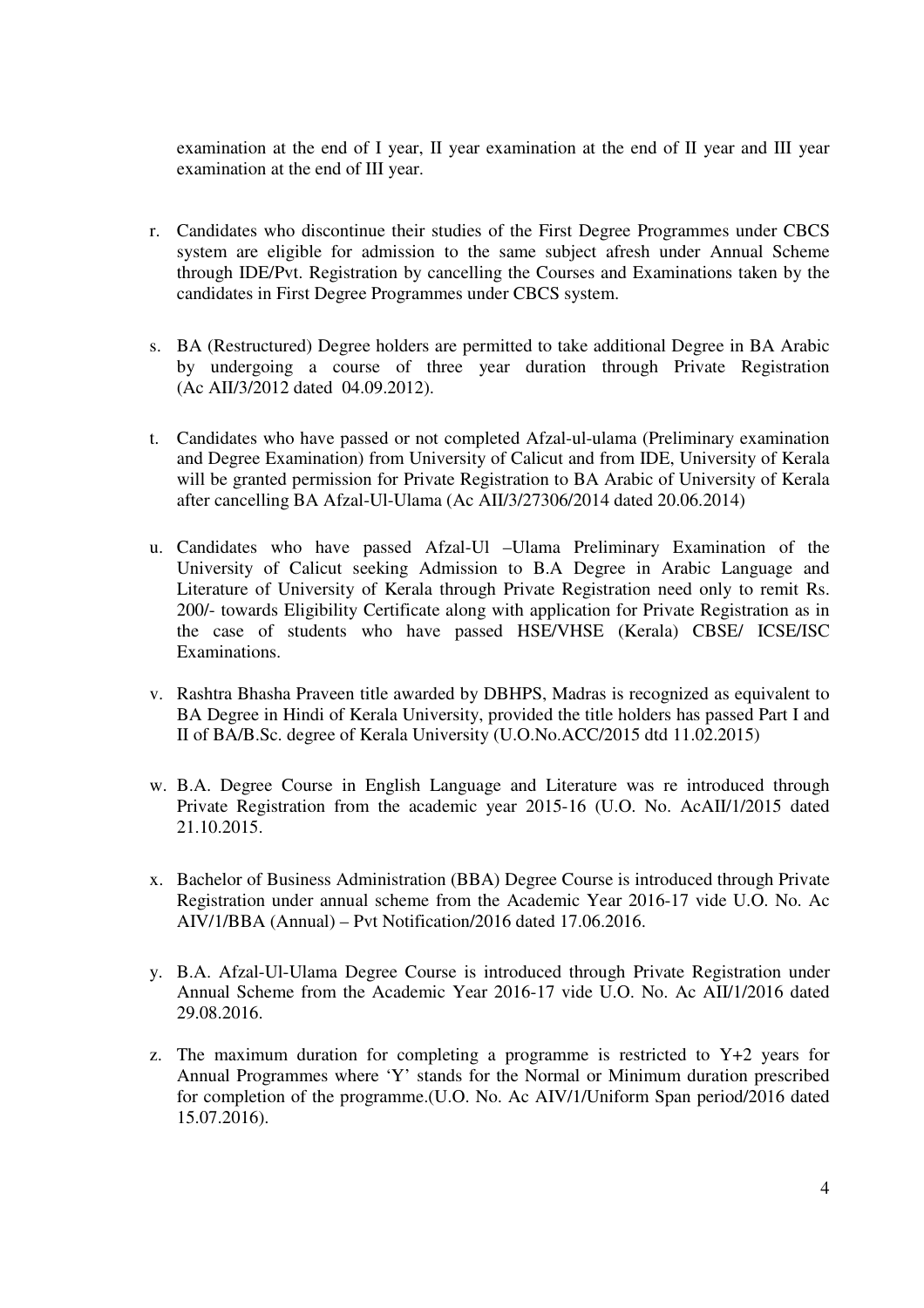examination at the end of I year, II year examination at the end of II year and III year examination at the end of III year.

- r. Candidates who discontinue their studies of the First Degree Programmes under CBCS system are eligible for admission to the same subject afresh under Annual Scheme through IDE/Pvt. Registration by cancelling the Courses and Examinations taken by the candidates in First Degree Programmes under CBCS system.
- s. BA (Restructured) Degree holders are permitted to take additional Degree in BA Arabic by undergoing a course of three year duration through Private Registration (Ac AII/3/2012 dated 04.09.2012).
- t. Candidates who have passed or not completed Afzal-ul-ulama (Preliminary examination and Degree Examination) from University of Calicut and from IDE, University of Kerala will be granted permission for Private Registration to BA Arabic of University of Kerala after cancelling BA Afzal-Ul-Ulama (Ac AII/3/27306/2014 dated 20.06.2014)
- u. Candidates who have passed Afzal-Ul –Ulama Preliminary Examination of the University of Calicut seeking Admission to B.A Degree in Arabic Language and Literature of University of Kerala through Private Registration need only to remit Rs. 200/- towards Eligibility Certificate along with application for Private Registration as in the case of students who have passed HSE/VHSE (Kerala) CBSE/ ICSE/ISC Examinations.
- v. Rashtra Bhasha Praveen title awarded by DBHPS, Madras is recognized as equivalent to BA Degree in Hindi of Kerala University, provided the title holders has passed Part I and II of BA/B.Sc. degree of Kerala University (U.O.No.ACC/2015 dtd 11.02.2015)
- w. B.A. Degree Course in English Language and Literature was re introduced through Private Registration from the academic year 2015-16 (U.O. No. AcAII/1/2015 dated 21.10.2015.
- x. Bachelor of Business Administration (BBA) Degree Course is introduced through Private Registration under annual scheme from the Academic Year 2016-17 vide U.O. No. Ac AIV/1/BBA (Annual) – Pvt Notification/2016 dated 17.06.2016.
- y. B.A. Afzal-Ul-Ulama Degree Course is introduced through Private Registration under Annual Scheme from the Academic Year 2016-17 vide U.O. No. Ac AII/1/2016 dated 29.08.2016.
- z. The maximum duration for completing a programme is restricted to  $Y+2$  years for Annual Programmes where 'Y' stands for the Normal or Minimum duration prescribed for completion of the programme.(U.O. No. Ac AIV/1/Uniform Span period/2016 dated 15.07.2016).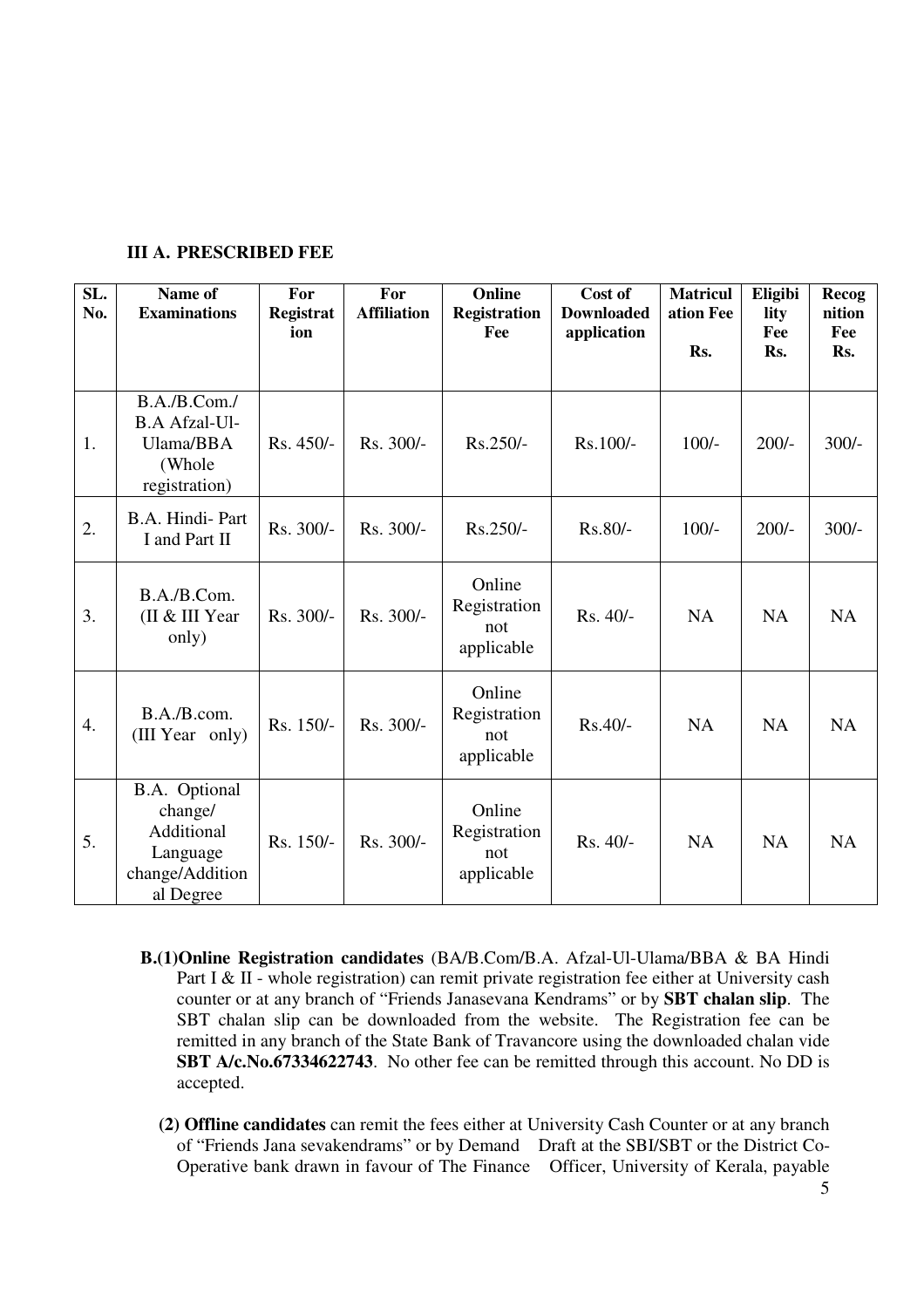| SL.<br>No.       | Name of<br><b>Examinations</b>                                                     | For<br>Registrat<br>ion | For<br><b>Affiliation</b> | Online<br><b>Registration</b><br>Fee        | Cost of<br><b>Downloaded</b><br>application | <b>Matricul</b><br>ation Fee<br>Rs. | Eligibi<br>lity<br>Fee<br>Rs. | Recog<br>nition<br>Fee<br>Rs. |
|------------------|------------------------------------------------------------------------------------|-------------------------|---------------------------|---------------------------------------------|---------------------------------------------|-------------------------------------|-------------------------------|-------------------------------|
| 1.               | B.A./B.Com./<br><b>B.A Afzal-Ul-</b><br>Ulama/BBA<br>(Whole<br>registration)       | Rs. 450/-               | Rs. 300/-                 | $Rs.250/-$                                  | Rs.100/-                                    | $100/-$                             | $200/-$                       | $300/-$                       |
| 2.               | B.A. Hindi-Part<br>I and Part II                                                   | Rs. 300/-               | Rs. 300/-                 | $Rs.250/-$                                  | $Rs.80/-$                                   | $100/-$                             | $200/-$                       | $300/-$                       |
| 3.               | B.A./B.Com.<br>(II & III Year<br>only)                                             | Rs. 300/-               | Rs. 300/-                 | Online<br>Registration<br>not<br>applicable | Rs. 40/-                                    | <b>NA</b>                           | <b>NA</b>                     | <b>NA</b>                     |
| $\overline{4}$ . | B.A./B.com.<br>(III Year only)                                                     | Rs. 150/-               | Rs. 300/-                 | Online<br>Registration<br>not<br>applicable | $Rs.40/-$                                   | <b>NA</b>                           | <b>NA</b>                     | <b>NA</b>                     |
| 5.               | B.A. Optional<br>change/<br>Additional<br>Language<br>change/Addition<br>al Degree | Rs. 150/-               | Rs. 300/-                 | Online<br>Registration<br>not<br>applicable | Rs. 40/-                                    | <b>NA</b>                           | <b>NA</b>                     | <b>NA</b>                     |

- **B.(1)Online Registration candidates** (BA/B.Com/B.A. Afzal-Ul-Ulama/BBA & BA Hindi Part I & II - whole registration) can remit private registration fee either at University cash counter or at any branch of "Friends Janasevana Kendrams" or by **SBT chalan slip**. The SBT chalan slip can be downloaded from the website. The Registration fee can be remitted in any branch of the State Bank of Travancore using the downloaded chalan vide **SBT A/c.No.67334622743**. No other fee can be remitted through this account. No DD is accepted.
	- **(2) Offline candidates** can remit the fees either at University Cash Counter or at any branch of "Friends Jana sevakendrams" or by Demand Draft at the SBI/SBT or the District Co-Operative bank drawn in favour of The Finance Officer, University of Kerala, payable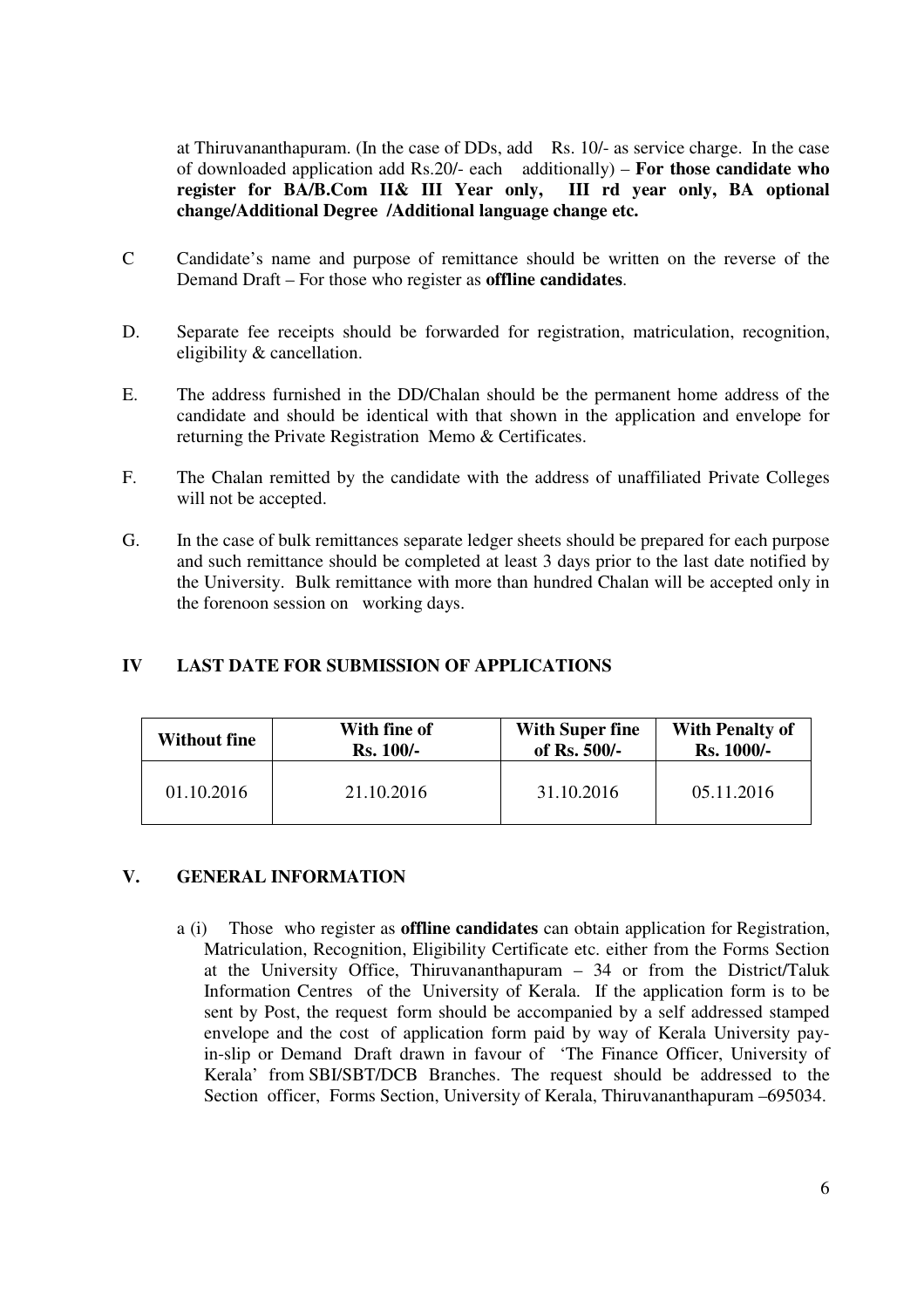at Thiruvananthapuram. (In the case of DDs, add Rs. 10/- as service charge. In the case of downloaded application add Rs.20/- each additionally) – **For those candidate who register for BA/B.Com II& III Year only, III rd year only, BA optional change/Additional Degree /Additional language change etc.** 

- C Candidate's name and purpose of remittance should be written on the reverse of the Demand Draft – For those who register as **offline candidates**.
- D. Separate fee receipts should be forwarded for registration, matriculation, recognition, eligibility & cancellation.
- E. The address furnished in the DD/Chalan should be the permanent home address of the candidate and should be identical with that shown in the application and envelope for returning the Private Registration Memo & Certificates.
- F. The Chalan remitted by the candidate with the address of unaffiliated Private Colleges will not be accepted.
- G. In the case of bulk remittances separate ledger sheets should be prepared for each purpose and such remittance should be completed at least 3 days prior to the last date notified by the University. Bulk remittance with more than hundred Chalan will be accepted only in the forenoon session on working days.

## **IV LAST DATE FOR SUBMISSION OF APPLICATIONS**

| <b>Without fine</b> | With fine of | <b>With Super fine</b> | <b>With Penalty of</b> |  |
|---------------------|--------------|------------------------|------------------------|--|
|                     | $Rs. 100/-$  | of Rs. 500/-           | <b>Rs. 1000/-</b>      |  |
| 01.10.2016          | 21.10.2016   | 31.10.2016             | 05.11.2016             |  |

## **V. GENERAL INFORMATION**

a (i) Those who register as **offline candidates** can obtain application for Registration, Matriculation, Recognition, Eligibility Certificate etc. either from the Forms Section at the University Office, Thiruvananthapuram – 34 or from the District/Taluk Information Centres of the University of Kerala. If the application form is to be sent by Post, the request form should be accompanied by a self addressed stamped envelope and the cost of application form paid by way of Kerala University pay in-slip or Demand Draft drawn in favour of 'The Finance Officer, University of Kerala' from SBI/SBT/DCB Branches. The request should be addressed to the Section officer, Forms Section, University of Kerala, Thiruvananthapuram –695034.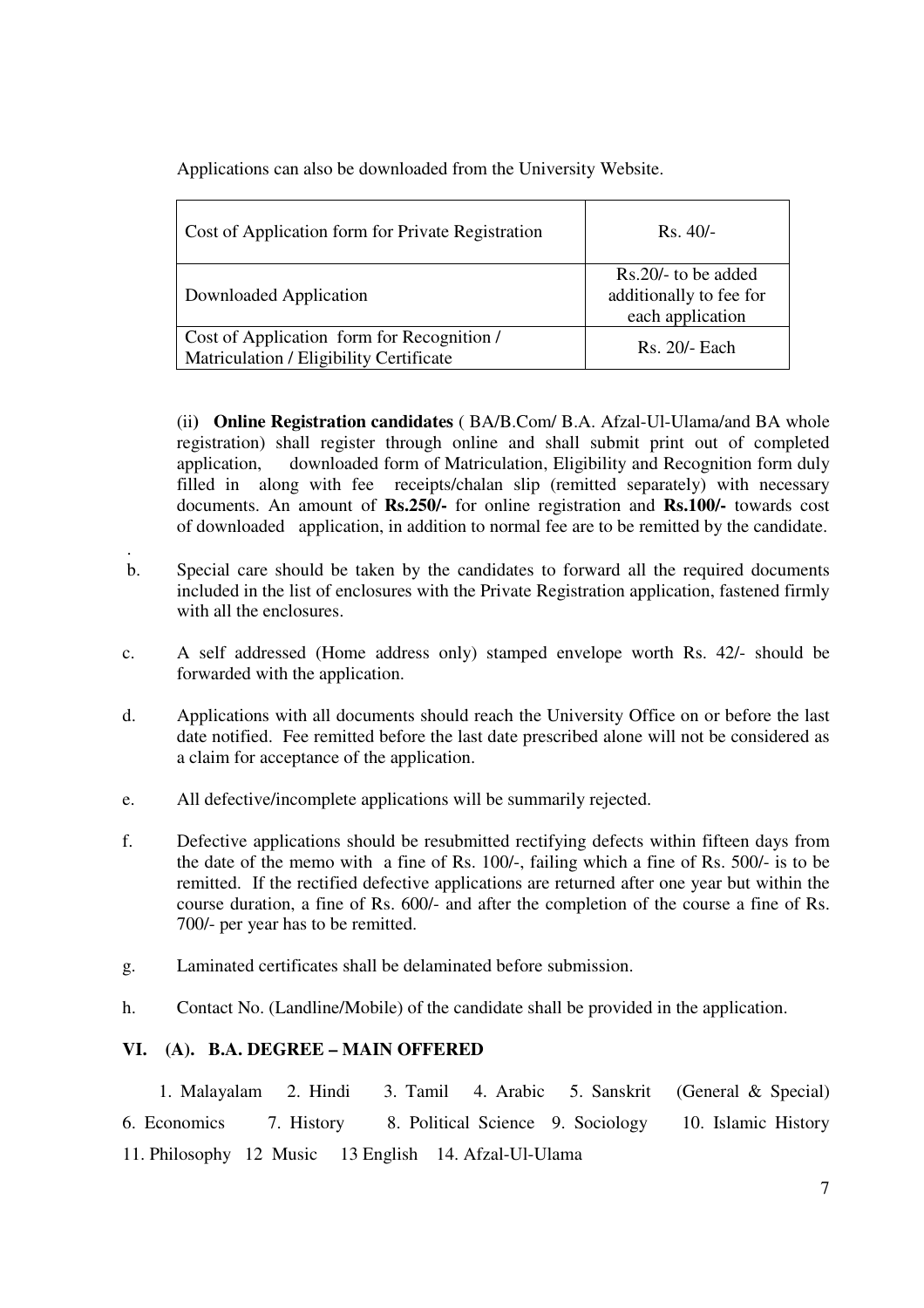Applications can also be downloaded from the University Website.

| Cost of Application form for Private Registration                                     | $Rs.40/-$                                                            |
|---------------------------------------------------------------------------------------|----------------------------------------------------------------------|
| Downloaded Application                                                                | $Rs.20/-$ to be added<br>additionally to fee for<br>each application |
| Cost of Application form for Recognition /<br>Matriculation / Eligibility Certificate | $Rs. 20/- Each$                                                      |

(ii**) Online Registration candidates** ( BA/B.Com/ B.A. Afzal-Ul-Ulama/and BA whole registration) shall register through online and shall submit print out of completed application, downloaded form of Matriculation, Eligibility and Recognition form duly filled in along with fee receipts/chalan slip (remitted separately) with necessary documents. An amount of **Rs.250/-** for online registration and **Rs.100/-** towards cost of downloaded application, in addition to normal fee are to be remitted by the candidate.

- . b. Special care should be taken by the candidates to forward all the required documents included in the list of enclosures with the Private Registration application, fastened firmly with all the enclosures.
- c. A self addressed (Home address only) stamped envelope worth Rs. 42/- should be forwarded with the application.
- d. Applications with all documents should reach the University Office on or before the last date notified. Fee remitted before the last date prescribed alone will not be considered as a claim for acceptance of the application.
- e. All defective/incomplete applications will be summarily rejected.
- f. Defective applications should be resubmitted rectifying defects within fifteen days from the date of the memo with a fine of Rs. 100/-, failing which a fine of Rs. 500/- is to be remitted. If the rectified defective applications are returned after one year but within the course duration, a fine of Rs. 600/- and after the completion of the course a fine of Rs. 700/- per year has to be remitted.
- g. Laminated certificates shall be delaminated before submission.
- h. Contact No. (Landline/Mobile) of the candidate shall be provided in the application.

## **VI. (A). B.A. DEGREE – MAIN OFFERED**

 1. Malayalam 2. Hindi 3. Tamil 4. Arabic 5. Sanskrit (General & Special) 6. Economics 7. History 8. Political Science 9. Sociology 10. Islamic History 11. Philosophy 12 Music 13 English 14. Afzal-Ul-Ulama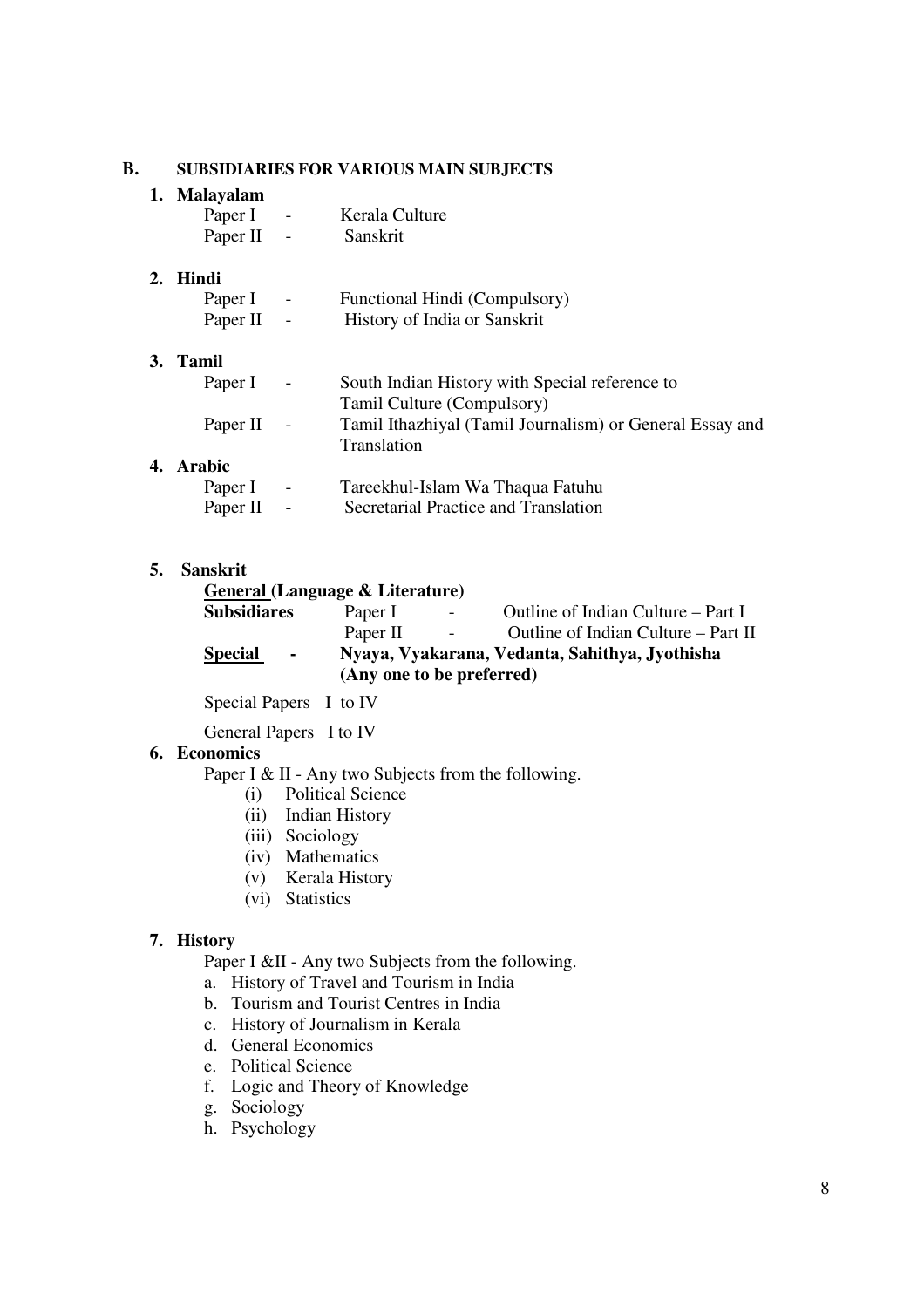## **B. SUBSIDIARIES FOR VARIOUS MAIN SUBJECTS**

## **1. Malayalam**

| Paper I  | -                        | Kerala Culture |
|----------|--------------------------|----------------|
| Paper II | $\overline{\phantom{0}}$ | Sanskrit       |

#### **2. Hindi**

| Paper I  | $\overline{\phantom{a}}$ | Functional Hindi (Compulsory) |
|----------|--------------------------|-------------------------------|
| Paper II | $\overline{\phantom{0}}$ | History of India or Sanskrit  |

#### **3. Tamil**

| Paper I –  |            | South Indian History with Special reference to           |
|------------|------------|----------------------------------------------------------|
|            |            | Tamil Culture (Compulsory)                               |
| Paper II - |            | Tamil Ithazhiyal (Tamil Journalism) or General Essay and |
|            |            | Translation                                              |
| 4. Arabic  |            |                                                          |
| Paper I    | $\sim$ $-$ | Tareekhul-Islam Wa Thaqua Fatuhu                         |
| Paper II   | $\sim 100$ | Secretarial Practice and Translation                     |

#### **5. Sanskrit**

| General (Language & Literature)                                                                              |          |        |                                     |  |
|--------------------------------------------------------------------------------------------------------------|----------|--------|-------------------------------------|--|
| <b>Subsidiares</b>                                                                                           | Paper I  | $\sim$ | Outline of Indian Culture – Part I  |  |
|                                                                                                              | Paper II | $\sim$ | Outline of Indian Culture – Part II |  |
| Nyaya, Vyakarana, Vedanta, Sahithya, Jyothisha<br><b>Special</b><br>$\bullet$ .<br>(Any one to be preferred) |          |        |                                     |  |

Special Papers I to IV

General Papers I to IV

#### **6. Economics**

Paper I & II - Any two Subjects from the following.

- (i) Political Science
- (ii) Indian History
- (iii) Sociology
- (iv) Mathematics
- (v) Kerala History
- (vi) Statistics

#### **7. History**

Paper I &II - Any two Subjects from the following.

- a. History of Travel and Tourism in India
- b. Tourism and Tourist Centres in India
- c. History of Journalism in Kerala
- d. General Economics
- e. Political Science
- f. Logic and Theory of Knowledge
- g. Sociology
- h. Psychology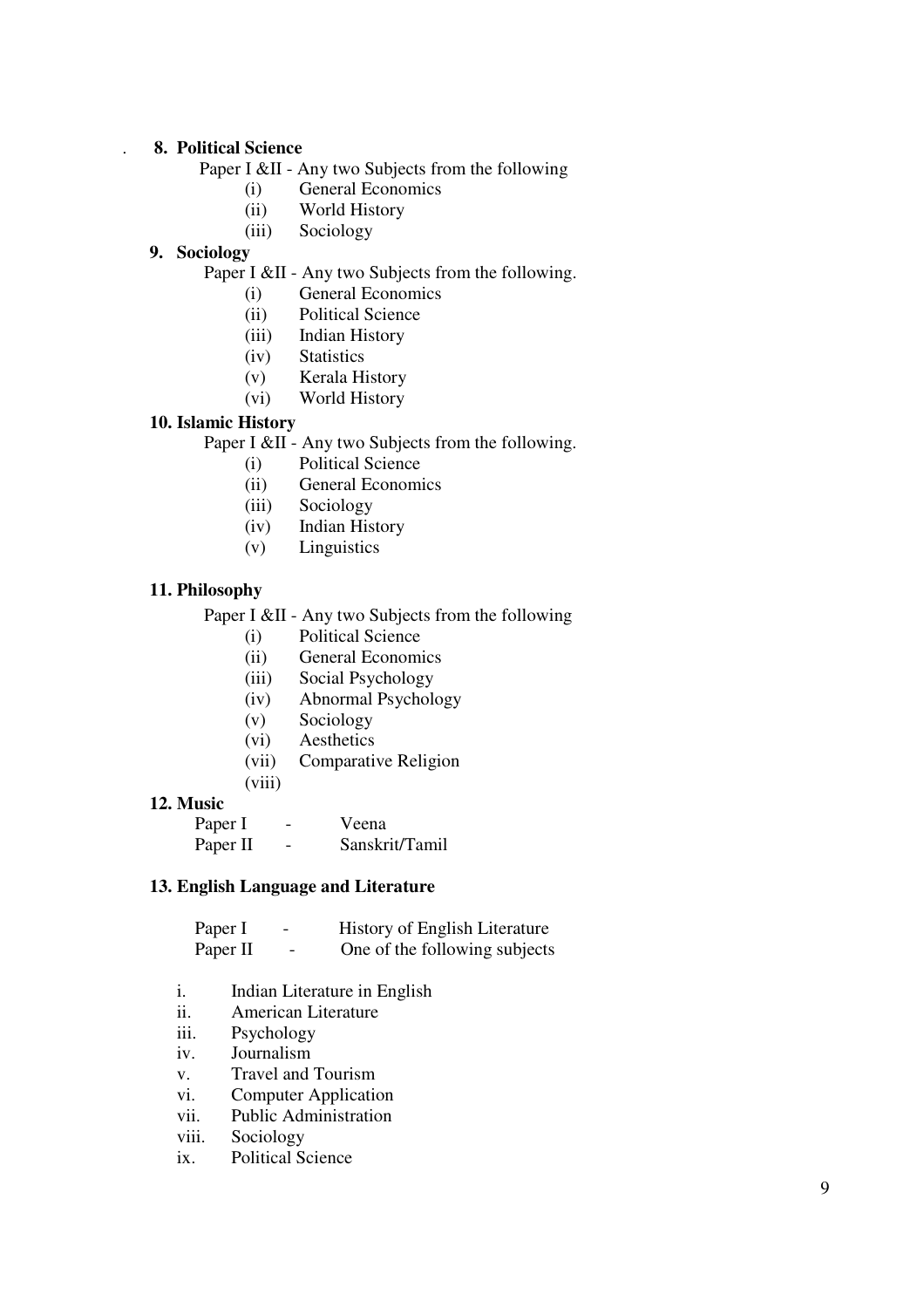#### . **8. Political Science**

Paper I &II - Any two Subjects from the following

- (i) General Economics
- (ii) World History
- (iii) Sociology

## **9. Sociology**

# Paper I &II - Any two Subjects from the following.

- (i) General Economics
- (ii) Political Science
- (iii) Indian History
- (iv) Statistics
- (v) Kerala History
- (vi) World History

#### **10. Islamic History**

Paper I &II - Any two Subjects from the following.

- (i) Political Science
- (ii) General Economics
- (iii) Sociology
- (iv) Indian History
- (v) Linguistics

## **11. Philosophy**

Paper I &II - Any two Subjects from the following

- (i) Political Science
- (ii) General Economics
- (iii) Social Psychology
- (iv) Abnormal Psychology
- (v) Sociology
- (vi) Aesthetics
- (vii) Comparative Religion
- (viii)

#### **12. Music**

| Paper I  | - | Veena          |
|----------|---|----------------|
| Paper II | - | Sanskrit/Tamil |

#### **13. English Language and Literature**

| Paper I  | $\overline{\phantom{0}}$ | <b>History of English Literature</b> |
|----------|--------------------------|--------------------------------------|
| Paper II | $\sim$                   | One of the following subjects        |

- i. Indian Literature in English
- ii. American Literature
- iii. Psychology
- iv. Journalism
- v. Travel and Tourism
- vi. Computer Application
- vii. Public Administration
- viii. Sociology
- ix. Political Science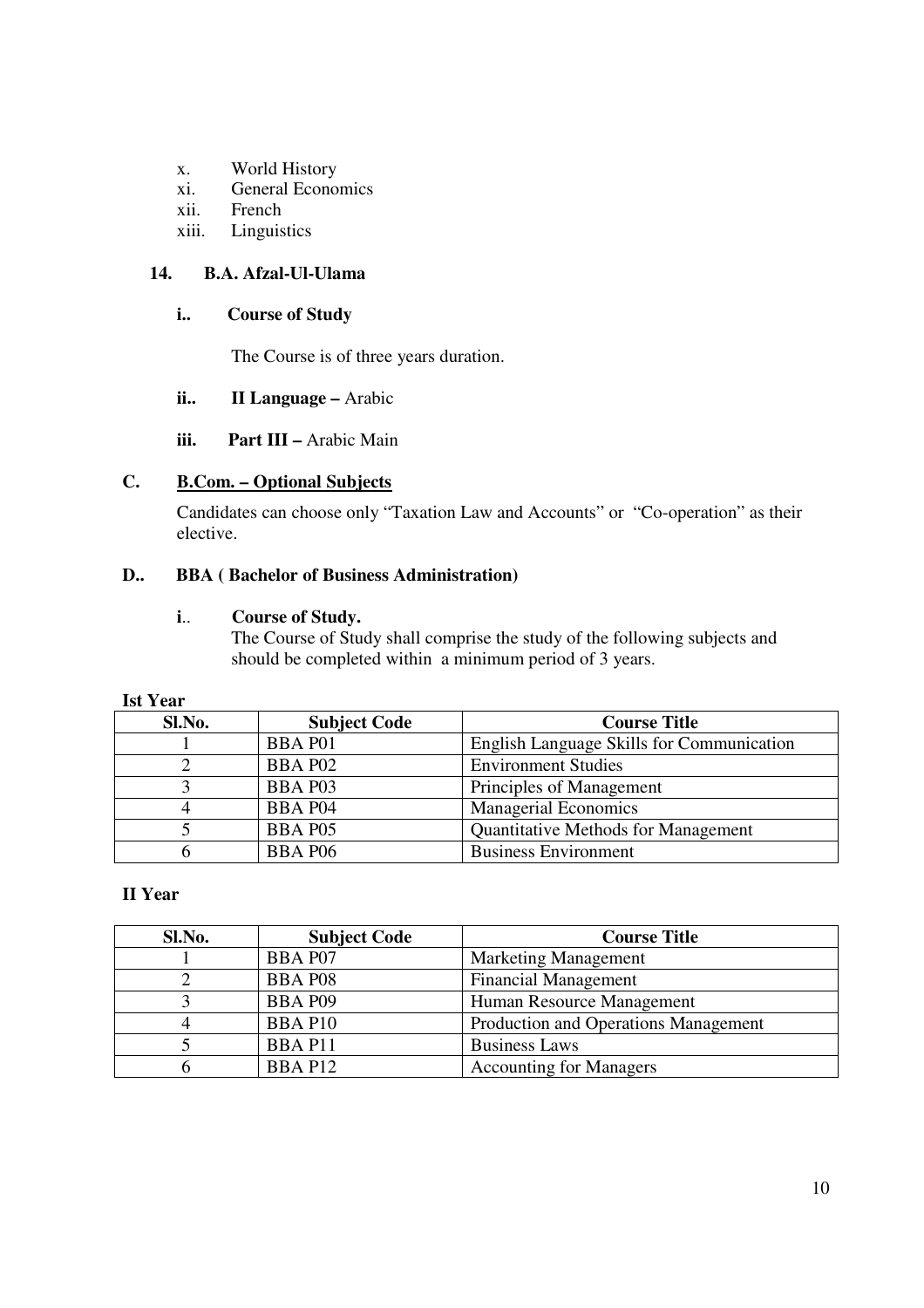- x. World History
- xi. General Economics
- xii. French
- xiii. Linguistics

## **14. B.A. Afzal-Ul-Ulama**

## **i.. Course of Study**

The Course is of three years duration.

## **ii.. II Language –** Arabic

## **iii.** Part III – Arabic Main

# **C. B.Com. – Optional Subjects**

Candidates can choose only "Taxation Law and Accounts" or "Co-operation" as their elective.

## **D.. BBA ( Bachelor of Business Administration)**

## **i**.. **Course of Study.**

The Course of Study shall comprise the study of the following subjects and should be completed within a minimum period of 3 years.

| <b>Ist Year</b> |                     |                                            |  |  |  |
|-----------------|---------------------|--------------------------------------------|--|--|--|
| Sl.No.          | <b>Subject Code</b> | <b>Course Title</b>                        |  |  |  |
|                 | <b>BBA P01</b>      | English Language Skills for Communication  |  |  |  |
|                 | BBA P02             | <b>Environment Studies</b>                 |  |  |  |
|                 | BBA P03             | Principles of Management                   |  |  |  |
|                 | <b>BBA P04</b>      | <b>Managerial Economics</b>                |  |  |  |
|                 | <b>BBA P05</b>      | <b>Quantitative Methods for Management</b> |  |  |  |
|                 | <b>BBA P06</b>      | <b>Business Environment</b>                |  |  |  |

# **II Year**

| Sl.No. | <b>Subject Code</b> | <b>Course Title</b>                  |
|--------|---------------------|--------------------------------------|
|        | <b>BBA P07</b>      | <b>Marketing Management</b>          |
|        | <b>BBA P08</b>      | <b>Financial Management</b>          |
|        | <b>BBA P09</b>      | Human Resource Management            |
|        | <b>BBA P10</b>      | Production and Operations Management |
|        | <b>BBAP11</b>       | <b>Business Laws</b>                 |
|        | BBA P12             | <b>Accounting for Managers</b>       |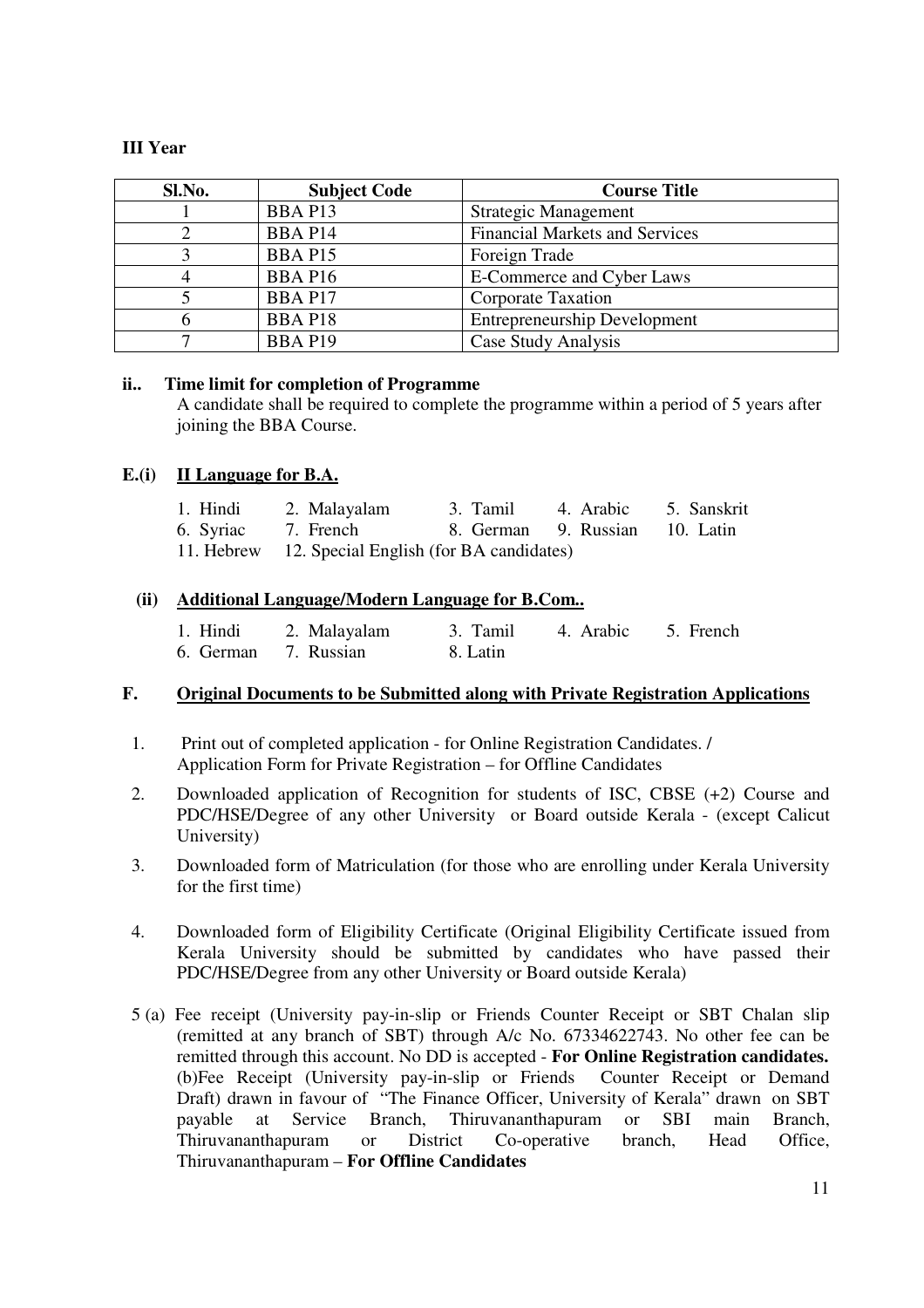## **III Year**

| Sl.No. | <b>Subject Code</b> | <b>Course Title</b>                   |
|--------|---------------------|---------------------------------------|
|        | BBA P13             | Strategic Management                  |
|        | <b>BBA P14</b>      | <b>Financial Markets and Services</b> |
|        | <b>BBA P15</b>      | Foreign Trade                         |
|        | BBA P16             | E-Commerce and Cyber Laws             |
|        | <b>BBA P17</b>      | Corporate Taxation                    |
|        | <b>BBAP18</b>       | <b>Entrepreneurship Development</b>   |
|        | <b>BBA P19</b>      | Case Study Analysis                   |

## **ii.. Time limit for completion of Programme**

A candidate shall be required to complete the programme within a period of 5 years after joining the BBA Course.

## **E.(i) II Language for B.A.**

| 1. Hindi | 2. Malayalam                                       | 3. Tamil 4. Arabic             | 5. Sanskrit |
|----------|----------------------------------------------------|--------------------------------|-------------|
|          | 6. Syriac 7. French                                | 8. German 9. Russian 10. Latin |             |
|          | 11. Hebrew 12. Special English (for BA candidates) |                                |             |

## **(ii) Additional Language/Modern Language for B.Com..**

| 1. Hindi             | 2. Malayalam |          | 3. Tamil 4. Arabic 5. French |  |
|----------------------|--------------|----------|------------------------------|--|
| 6. German 7. Russian |              | 8. Latin |                              |  |

## **F. Original Documents to be Submitted along with Private Registration Applications**

- 1. Print out of completed application for Online Registration Candidates. / Application Form for Private Registration – for Offline Candidates
- 2. Downloaded application of Recognition for students of ISC, CBSE (+2) Course and PDC/HSE/Degree of any other University or Board outside Kerala - (except Calicut University)
- 3. Downloaded form of Matriculation (for those who are enrolling under Kerala University for the first time)
- 4. Downloaded form of Eligibility Certificate (Original Eligibility Certificate issued from Kerala University should be submitted by candidates who have passed their PDC/HSE/Degree from any other University or Board outside Kerala)
- 5 (a) Fee receipt (University pay-in-slip or Friends Counter Receipt or SBT Chalan slip (remitted at any branch of SBT) through A/c No. 67334622743. No other fee can be remitted through this account. No DD is accepted - **For Online Registration candidates.** (b)Fee Receipt (University pay-in-slip or Friends Counter Receipt or Demand Draft) drawn in favour of "The Finance Officer, University of Kerala" drawn on SBT payable at Service Branch, Thiruvananthapuram or SBI main Branch, Thiruvananthapuram or District Co-operative branch, Head Office, Thiruvananthapuram – **For Offline Candidates**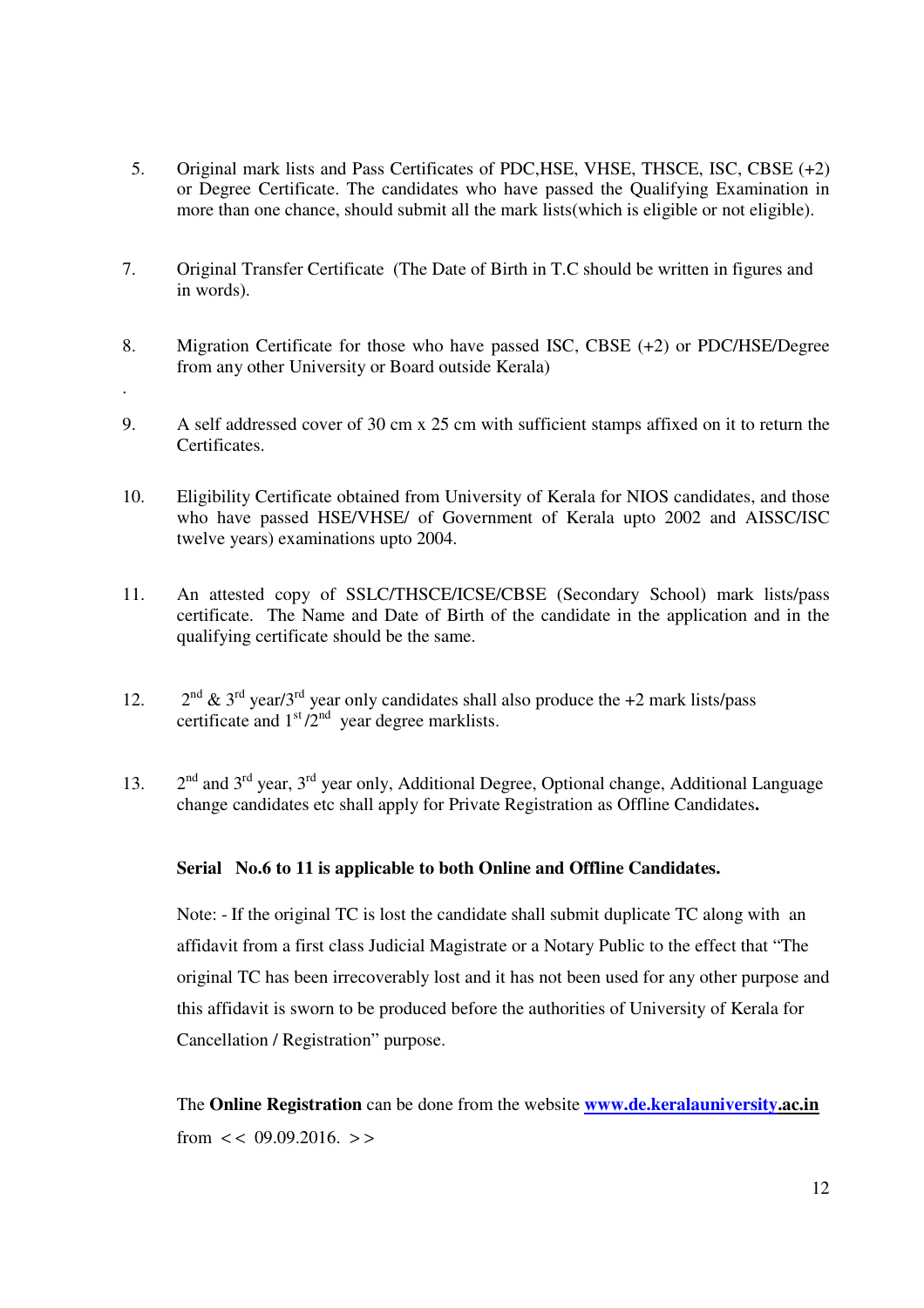- 5. Original mark lists and Pass Certificates of PDC,HSE, VHSE, THSCE, ISC, CBSE (+2) or Degree Certificate. The candidates who have passed the Qualifying Examination in more than one chance, should submit all the mark lists(which is eligible or not eligible).
- 7. Original Transfer Certificate (The Date of Birth in T.C should be written in figures and in words).
- 8. Migration Certificate for those who have passed ISC, CBSE (+2) or PDC/HSE/Degree from any other University or Board outside Kerala)

.

- 9. A self addressed cover of 30 cm x 25 cm with sufficient stamps affixed on it to return the Certificates.
- 10. Eligibility Certificate obtained from University of Kerala for NIOS candidates, and those who have passed HSE/VHSE/ of Government of Kerala upto 2002 and AISSC/ISC twelve years) examinations upto 2004.
- 11. An attested copy of SSLC/THSCE/ICSE/CBSE (Secondary School) mark lists/pass certificate. The Name and Date of Birth of the candidate in the application and in the qualifying certificate should be the same.
- 12.  $2<sup>nd</sup> \& 3<sup>rd</sup>$  year/3<sup>rd</sup> year only candidates shall also produce the +2 mark lists/pass certificate and  $1<sup>st</sup>/2<sup>nd</sup>$  year degree marklists.
- 13.  $2<sup>nd</sup>$  and  $3<sup>rd</sup>$  year,  $3<sup>rd</sup>$  year only, Additional Degree, Optional change, Additional Language change candidates etc shall apply for Private Registration as Offline Candidates**.**

## **Serial No.6 to 11 is applicable to both Online and Offline Candidates.**

Note: - If the original TC is lost the candidate shall submit duplicate TC along with an affidavit from a first class Judicial Magistrate or a Notary Public to the effect that "The original TC has been irrecoverably lost and it has not been used for any other purpose and this affidavit is sworn to be produced before the authorities of University of Kerala for Cancellation / Registration" purpose.

The **Online Registration** can be done from the website **www.de.keralauniversity.ac.in**  from  $<< 09.09.2016$ .  $>>$